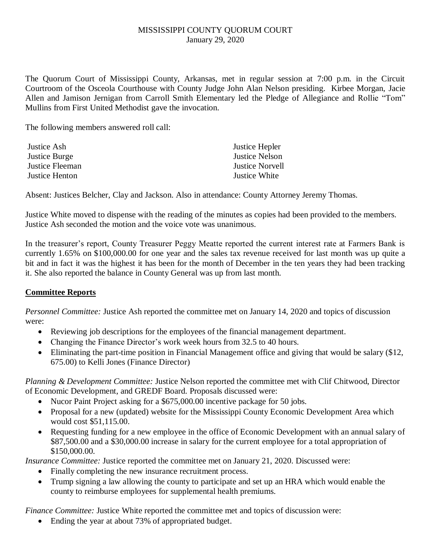## MISSISSIPPI COUNTY QUORUM COURT January 29, 2020

The Quorum Court of Mississippi County, Arkansas, met in regular session at 7:00 p.m. in the Circuit Courtroom of the Osceola Courthouse with County Judge John Alan Nelson presiding. Kirbee Morgan, Jacie Allen and Jamison Jernigan from Carroll Smith Elementary led the Pledge of Allegiance and Rollie "Tom" Mullins from First United Methodist gave the invocation.

The following members answered roll call:

| Justice Ash     | Justice Hepler         |
|-----------------|------------------------|
| Justice Burge   | <b>Justice Nelson</b>  |
| Justice Fleeman | <b>Justice Norvell</b> |
| Justice Henton  | Justice White          |
|                 |                        |

Absent: Justices Belcher, Clay and Jackson. Also in attendance: County Attorney Jeremy Thomas.

Justice White moved to dispense with the reading of the minutes as copies had been provided to the members. Justice Ash seconded the motion and the voice vote was unanimous.

In the treasurer's report, County Treasurer Peggy Meatte reported the current interest rate at Farmers Bank is currently 1.65% on \$100,000.00 for one year and the sales tax revenue received for last month was up quite a bit and in fact it was the highest it has been for the month of December in the ten years they had been tracking it. She also reported the balance in County General was up from last month.

## **Committee Reports**

*Personnel Committee:* Justice Ash reported the committee met on January 14, 2020 and topics of discussion were:

- Reviewing job descriptions for the employees of the financial management department.
- Changing the Finance Director's work week hours from 32.5 to 40 hours.
- Eliminating the part-time position in Financial Management office and giving that would be salary (\$12, 675.00) to Kelli Jones (Finance Director)

*Planning & Development Committee:* Justice Nelson reported the committee met with Clif Chitwood, Director of Economic Development, and GREDF Board. Proposals discussed were:

- Nucor Paint Project asking for a \$675,000.00 incentive package for 50 jobs.
- Proposal for a new (updated) website for the Mississippi County Economic Development Area which would cost \$51,115.00.
- Requesting funding for a new employee in the office of Economic Development with an annual salary of \$87,500.00 and a \$30,000.00 increase in salary for the current employee for a total appropriation of \$150,000.00.

*Insurance Committee:* Justice reported the committee met on January 21, 2020. Discussed were:

- Finally completing the new insurance recruitment process.
- Trump signing a law allowing the county to participate and set up an HRA which would enable the county to reimburse employees for supplemental health premiums.

*Finance Committee:* Justice White reported the committee met and topics of discussion were:

• Ending the year at about 73% of appropriated budget.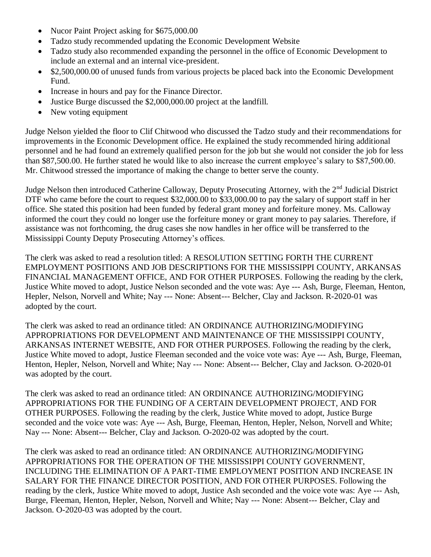- Nucor Paint Project asking for \$675,000.00
- Tadzo study recommended updating the Economic Development Website
- Tadzo study also recommended expanding the personnel in the office of Economic Development to include an external and an internal vice-president.
- \$2,500,000.00 of unused funds from various projects be placed back into the Economic Development Fund.
- Increase in hours and pay for the Finance Director.
- Justice Burge discussed the \$2,000,000.00 project at the landfill.
- New voting equipment

Judge Nelson yielded the floor to Clif Chitwood who discussed the Tadzo study and their recommendations for improvements in the Economic Development office. He explained the study recommended hiring additional personnel and he had found an extremely qualified person for the job but she would not consider the job for less than \$87,500.00. He further stated he would like to also increase the current employee's salary to \$87,500.00. Mr. Chitwood stressed the importance of making the change to better serve the county.

Judge Nelson then introduced Catherine Calloway, Deputy Prosecuting Attorney, with the 2<sup>nd</sup> Judicial District DTF who came before the court to request \$32,000.00 to \$33,000.00 to pay the salary of support staff in her office. She stated this position had been funded by federal grant money and forfeiture money. Ms. Calloway informed the court they could no longer use the forfeiture money or grant money to pay salaries. Therefore, if assistance was not forthcoming, the drug cases she now handles in her office will be transferred to the Mississippi County Deputy Prosecuting Attorney's offices.

The clerk was asked to read a resolution titled: A RESOLUTION SETTING FORTH THE CURRENT EMPLOYMENT POSITIONS AND JOB DESCRIPTIONS FOR THE MISSISSIPPI COUNTY, ARKANSAS FINANCIAL MANAGEMENT OFFICE, AND FOR OTHER PURPOSES. Following the reading by the clerk, Justice White moved to adopt, Justice Nelson seconded and the vote was: Aye --- Ash, Burge, Fleeman, Henton, Hepler, Nelson, Norvell and White; Nay --- None: Absent--- Belcher, Clay and Jackson. R-2020-01 was adopted by the court.

The clerk was asked to read an ordinance titled: AN ORDINANCE AUTHORIZING/MODIFYING APPROPRIATIONS FOR DEVELOPMENT AND MAINTENANCE OF THE MISSISSIPPI COUNTY, ARKANSAS INTERNET WEBSITE, AND FOR OTHER PURPOSES. Following the reading by the clerk, Justice White moved to adopt, Justice Fleeman seconded and the voice vote was: Aye --- Ash, Burge, Fleeman, Henton, Hepler, Nelson, Norvell and White; Nay --- None: Absent--- Belcher, Clay and Jackson. O-2020-01 was adopted by the court.

The clerk was asked to read an ordinance titled: AN ORDINANCE AUTHORIZING/MODIFYING APPROPRIATIONS FOR THE FUNDING OF A CERTAIN DEVELOPMENT PROJECT, AND FOR OTHER PURPOSES. Following the reading by the clerk, Justice White moved to adopt, Justice Burge seconded and the voice vote was: Aye --- Ash, Burge, Fleeman, Henton, Hepler, Nelson, Norvell and White; Nay --- None: Absent--- Belcher, Clay and Jackson. O-2020-02 was adopted by the court.

The clerk was asked to read an ordinance titled: AN ORDINANCE AUTHORIZING/MODIFYING APPROPRIATIONS FOR THE OPERATION OF THE MISSISSIPPI COUNTY GOVERNMENT, INCLUDING THE ELIMINATION OF A PART-TIME EMPLOYMENT POSITION AND INCREASE IN SALARY FOR THE FINANCE DIRECTOR POSITION, AND FOR OTHER PURPOSES. Following the reading by the clerk, Justice White moved to adopt, Justice Ash seconded and the voice vote was: Aye --- Ash, Burge, Fleeman, Henton, Hepler, Nelson, Norvell and White; Nay --- None: Absent--- Belcher, Clay and Jackson. O-2020-03 was adopted by the court.